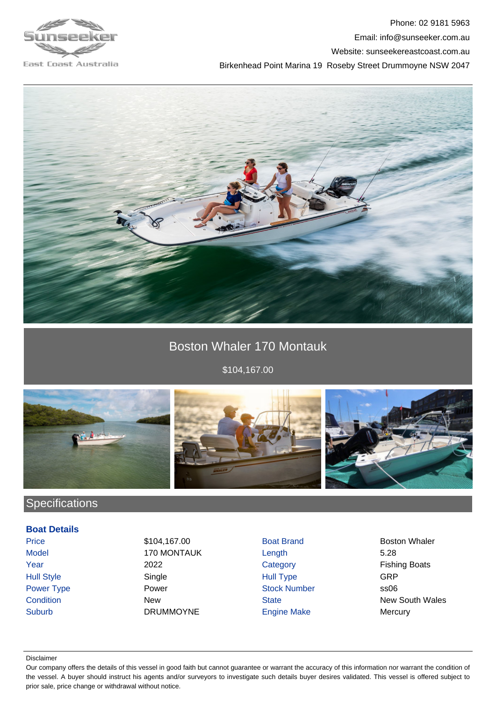

Phone: 02 9181 5963 Email: info@sunseeker.com.au Website: sunseekereastcoast.com.au Birkenhead Point Marina 19 Roseby Street Drummoyne NSW 2047



## Boston Whaler 170 Montauk

\$104,167.00



## **Specifications**

#### **Boat Details**

Price \$104,167.00 \$104,167.00 Boat Brand Boston Whaler Model 170 MONTAUK Length 5.28 Year 2022 2022 Category Careway Fishing Boats Hull Style **Single** Single **Single Hull Type** GRP Power Type **Power Stock Number** Stock Number ss06 Suburb DRUMMOYNE Engine Make Mercury

**Condition** New New State State New South Wales

#### Disclaimer

Our company offers the details of this vessel in good faith but cannot guarantee or warrant the accuracy of this information nor warrant the condition of the vessel. A buyer should instruct his agents and/or surveyors to investigate such details buyer desires validated. This vessel is offered subject to prior sale, price change or withdrawal without notice.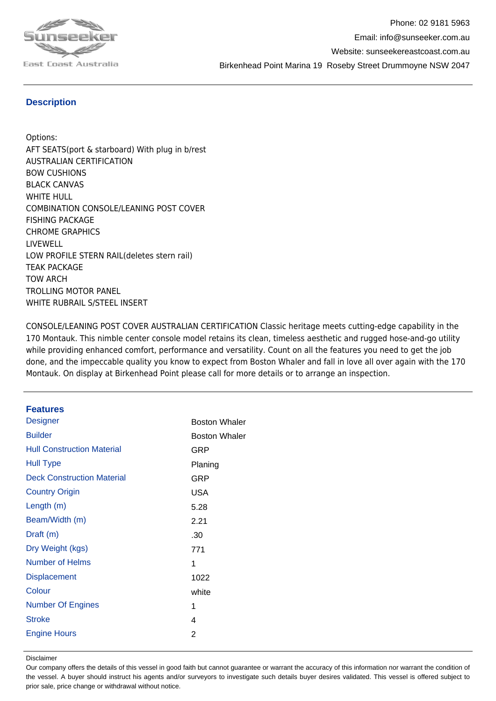

#### **Description**

Options: AFT SEATS(port & starboard) With plug in b/rest AUSTRALIAN CERTIFICATION BOW CUSHIONS BLACK CANVAS WHITE HULL COMBINATION CONSOLE/LEANING POST COVER FISHING PACKAGE CHROME GRAPHICS LIVEWELL LOW PROFILE STERN RAIL(deletes stern rail) TEAK PACKAGE TOW ARCH TROLLING MOTOR PANEL WHITE RUBRAIL S/STEEL INSERT

CONSOLE/LEANING POST COVER AUSTRALIAN CERTIFICATION Classic heritage meets cutting-edge capability in the 170 Montauk. This nimble center console model retains its clean, timeless aesthetic and rugged hose-and-go utility while providing enhanced comfort, performance and versatility. Count on all the features you need to get the job done, and the impeccable quality you know to expect from Boston Whaler and fall in love all over again with the 170 Montauk. On display at Birkenhead Point please call for more details or to arrange an inspection.

#### **Features**

| <b>Designer</b>                   | <b>Boston Whaler</b> |
|-----------------------------------|----------------------|
| <b>Builder</b>                    | <b>Boston Whaler</b> |
| <b>Hull Construction Material</b> | GRP                  |
| <b>Hull Type</b>                  | Planing              |
| <b>Deck Construction Material</b> | GRP                  |
| <b>Country Origin</b>             | USA                  |
| Length (m)                        | 5.28                 |
| Beam/Width (m)                    | 2.21                 |
| Draft (m)                         | .30                  |
| Dry Weight (kgs)                  | 771                  |
| <b>Number of Helms</b>            | 1                    |
| <b>Displacement</b>               | 1022                 |
| Colour                            | white                |
| <b>Number Of Engines</b>          | 1                    |
| <b>Stroke</b>                     | 4                    |
| <b>Engine Hours</b>               | 2                    |
|                                   |                      |

Disclaimer

Our company offers the details of this vessel in good faith but cannot guarantee or warrant the accuracy of this information nor warrant the condition of the vessel. A buyer should instruct his agents and/or surveyors to investigate such details buyer desires validated. This vessel is offered subject to prior sale, price change or withdrawal without notice.